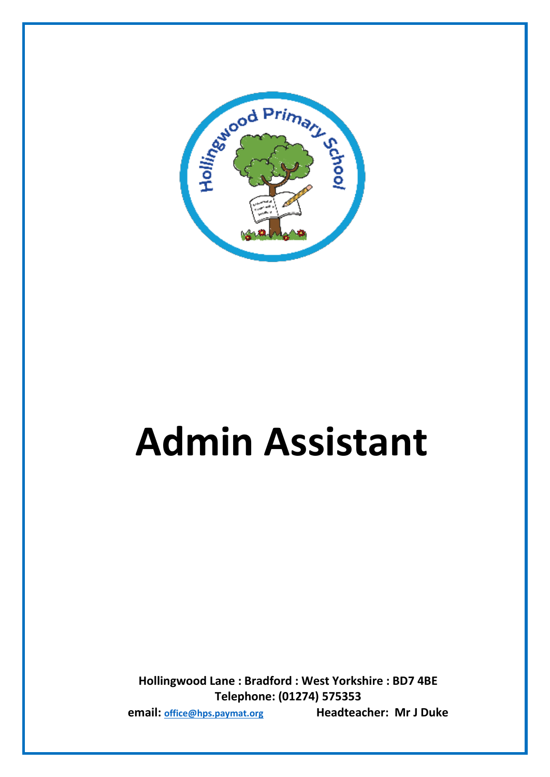

# **Admin Assistant**

**Hollingwood Lane : Bradford : West Yorkshire : BD7 4BE Telephone: (01274) 575353 email: [office@hps.paymat.org](mailto:office@hps.paymat.org) Headteacher: Mr J Duke**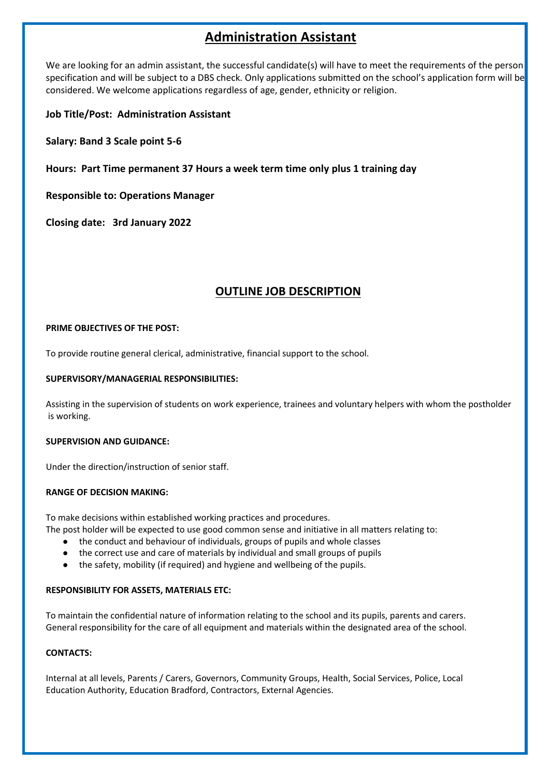## **Administration Assistant**

We are looking for an admin assistant, the successful candidate(s) will have to meet the requirements of the person specification and will be subject to a DBS check. Only applications submitted on the school's application form will be considered. We welcome applications regardless of age, gender, ethnicity or religion.

**Job Title/Post: Administration Assistant**

**Salary: Band 3 Scale point 5-6**

**Hours: Part Time permanent 37 Hours a week term time only plus 1 training day**

**Responsible to: Operations Manager**

**Closing date: 3rd January 2022**

### **OUTLINE JOB DESCRIPTION**

#### **PRIME OBJECTIVES OF THE POST:**

To provide routine general clerical, administrative, financial support to the school.

#### **SUPERVISORY/MANAGERIAL RESPONSIBILITIES:**

Assisting in the supervision of students on work experience, trainees and voluntary helpers with whom the postholder is working.

#### **SUPERVISION AND GUIDANCE:**

Under the direction/instruction of senior staff.

#### **RANGE OF DECISION MAKING:**

To make decisions within established working practices and procedures.

- The post holder will be expected to use good common sense and initiative in all matters relating to:
	- the conduct and behaviour of individuals, groups of pupils and whole classes
	- the correct use and care of materials by individual and small groups of pupils
	- the safety, mobility (if required) and hygiene and wellbeing of the pupils.

#### **RESPONSIBILITY FOR ASSETS, MATERIALS ETC:**

To maintain the confidential nature of information relating to the school and its pupils, parents and carers. General responsibility for the care of all equipment and materials within the designated area of the school.

#### **CONTACTS:**

Internal at all levels, Parents / Carers, Governors, Community Groups, Health, Social Services, Police, Local Education Authority, Education Bradford, Contractors, External Agencies.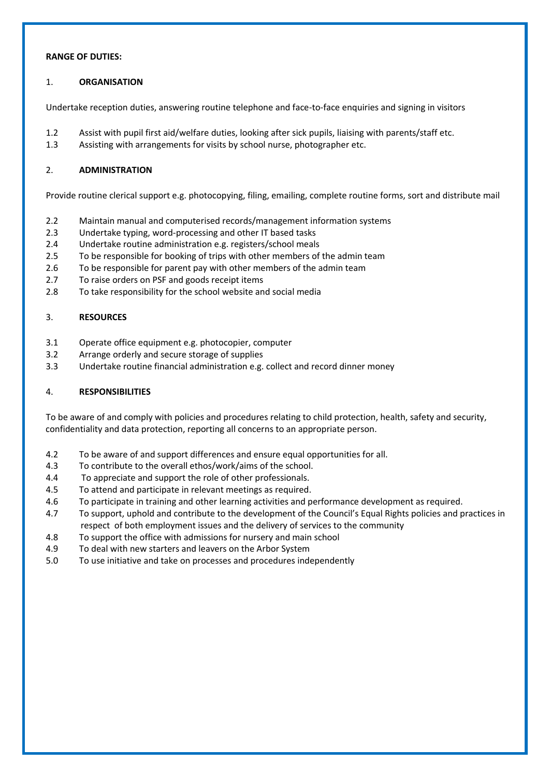#### **RANGE OF DUTIES:**

#### 1. **ORGANISATION**

Undertake reception duties, answering routine telephone and face-to-face enquiries and signing in visitors

- 1.2 Assist with pupil first aid/welfare duties, looking after sick pupils, liaising with parents/staff etc.
- 1.3 Assisting with arrangements for visits by school nurse, photographer etc.

#### 2. **ADMINISTRATION**

Provide routine clerical support e.g. photocopying, filing, emailing, complete routine forms, sort and distribute mail

- 2.2 Maintain manual and computerised records/management information systems
- 2.3 Undertake typing, word-processing and other IT based tasks
- 2.4 Undertake routine administration e.g. registers/school meals
- 2.5 To be responsible for booking of trips with other members of the admin team
- 2.6 To be responsible for parent pay with other members of the admin team
- 2.7 To raise orders on PSF and goods receipt items
- 2.8 To take responsibility for the school website and social media

#### 3. **RESOURCES**

- 3.1 Operate office equipment e.g. photocopier, computer
- 3.2 Arrange orderly and secure storage of supplies
- 3.3 Undertake routine financial administration e.g. collect and record dinner money

#### 4. **RESPONSIBILITIES**

To be aware of and comply with policies and procedures relating to child protection, health, safety and security, confidentiality and data protection, reporting all concerns to an appropriate person.

- 4.2 To be aware of and support differences and ensure equal opportunities for all.
- 4.3 To contribute to the overall ethos/work/aims of the school.
- 4.4 To appreciate and support the role of other professionals.
- 4.5 To attend and participate in relevant meetings as required.
- 4.6 To participate in training and other learning activities and performance development as required.
- 4.7 To support, uphold and contribute to the development of the Council's Equal Rights policies and practices in respect of both employment issues and the delivery of services to the community
- 4.8 To support the office with admissions for nursery and main school
- 4.9 To deal with new starters and leavers on the Arbor System
- 5.0 To use initiative and take on processes and procedures independently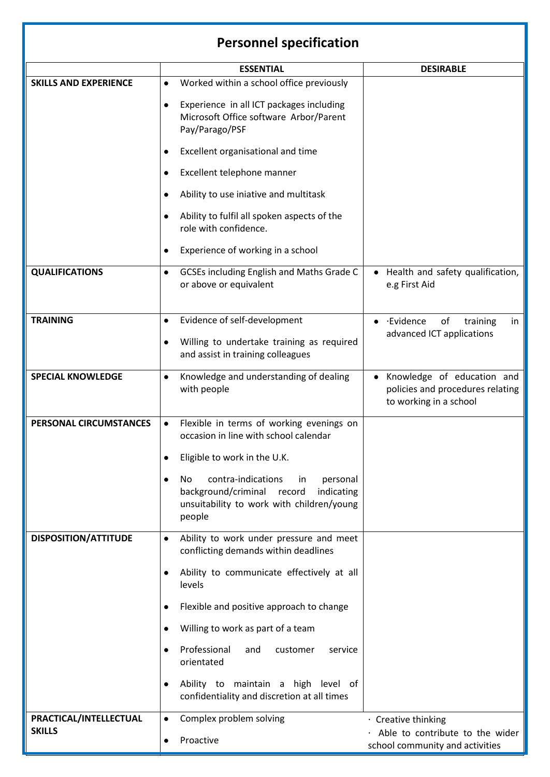## **Personnel specification**

|                              | <b>ESSENTIAL</b>                                                                                                                                  | <b>DESIRABLE</b>                                                                                      |
|------------------------------|---------------------------------------------------------------------------------------------------------------------------------------------------|-------------------------------------------------------------------------------------------------------|
| <b>SKILLS AND EXPERIENCE</b> | Worked within a school office previously<br>$\bullet$                                                                                             |                                                                                                       |
|                              | Experience in all ICT packages including<br>$\bullet$<br>Microsoft Office software Arbor/Parent<br>Pay/Parago/PSF                                 |                                                                                                       |
|                              | Excellent organisational and time                                                                                                                 |                                                                                                       |
|                              | Excellent telephone manner<br>$\bullet$                                                                                                           |                                                                                                       |
|                              | Ability to use iniative and multitask<br>$\bullet$                                                                                                |                                                                                                       |
|                              | Ability to fulfil all spoken aspects of the<br>role with confidence.                                                                              |                                                                                                       |
|                              | Experience of working in a school                                                                                                                 |                                                                                                       |
| <b>QUALIFICATIONS</b>        | GCSEs including English and Maths Grade C<br>$\bullet$<br>or above or equivalent                                                                  | Health and safety qualification,<br>e.g First Aid                                                     |
| <b>TRAINING</b>              | Evidence of self-development<br>$\bullet$                                                                                                         | ·Evidence<br>of<br>training<br>in<br>$\bullet$                                                        |
|                              | Willing to undertake training as required<br>$\bullet$                                                                                            | advanced ICT applications                                                                             |
|                              | and assist in training colleagues                                                                                                                 |                                                                                                       |
| <b>SPECIAL KNOWLEDGE</b>     | Knowledge and understanding of dealing<br>$\bullet$<br>with people                                                                                | Knowledge of education and<br>$\bullet$<br>policies and procedures relating<br>to working in a school |
| PERSONAL CIRCUMSTANCES       | Flexible in terms of working evenings on<br>$\bullet$<br>occasion in line with school calendar                                                    |                                                                                                       |
|                              | Eligible to work in the U.K.                                                                                                                      |                                                                                                       |
|                              | contra-indications<br>in<br>personal<br>No.<br>background/criminal<br>record<br>indicating<br>unsuitability to work with children/young<br>people |                                                                                                       |
| <b>DISPOSITION/ATTITUDE</b>  | Ability to work under pressure and meet<br>$\bullet$<br>conflicting demands within deadlines                                                      |                                                                                                       |
|                              | Ability to communicate effectively at all<br>levels                                                                                               |                                                                                                       |
|                              | Flexible and positive approach to change                                                                                                          |                                                                                                       |
|                              | Willing to work as part of a team<br>$\bullet$                                                                                                    |                                                                                                       |
|                              | Professional<br>and<br>customer<br>service<br>orientated                                                                                          |                                                                                                       |
|                              | Ability to maintain a high level of<br>$\bullet$<br>confidentiality and discretion at all times                                                   |                                                                                                       |
| PRACTICAL/INTELLECTUAL       | Complex problem solving<br>$\bullet$                                                                                                              | · Creative thinking                                                                                   |
| <b>SKILLS</b>                | Proactive<br>$\bullet$                                                                                                                            | Able to contribute to the wider<br>school community and activities                                    |